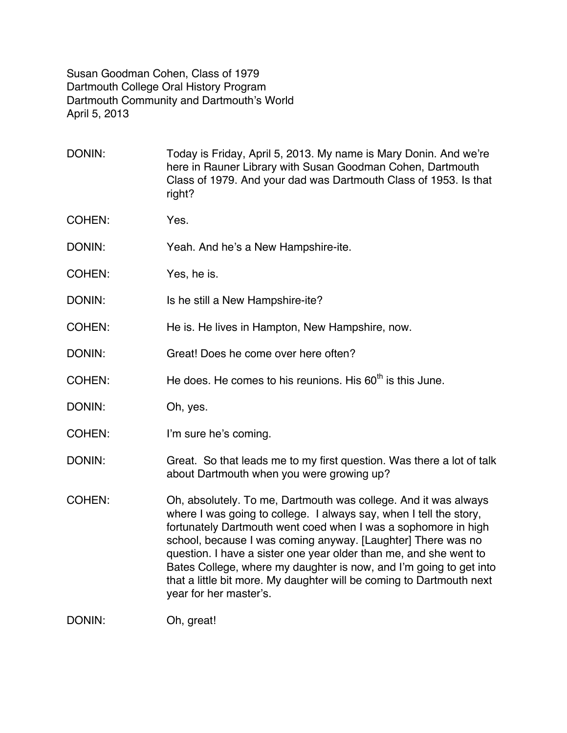Susan Goodman Cohen, Class of 1979 Dartmouth College Oral History Program Dartmouth Community and Dartmouth's World April 5, 2013

DONIN: Today is Friday, April 5, 2013. My name is Mary Donin. And we're here in Rauner Library with Susan Goodman Cohen, Dartmouth Class of 1979. And your dad was Dartmouth Class of 1953. Is that right?

- COHEN: Yes.
- DONIN: Yeah. And he's a New Hampshire-ite.
- COHEN: Yes, he is.
- DONIN: Is he still a New Hampshire-ite?
- COHEN: He is. He lives in Hampton, New Hampshire, now.
- DONIN: Great! Does he come over here often?
- COHEN: He does. He comes to his reunions. His  $60<sup>th</sup>$  is this June.
- DONIN: Oh, yes.
- COHEN: I'm sure he's coming.
- DONIN: Great. So that leads me to my first question. Was there a lot of talk about Dartmouth when you were growing up?
- COHEN: Oh, absolutely. To me, Dartmouth was college. And it was always where I was going to college. I always say, when I tell the story, fortunately Dartmouth went coed when I was a sophomore in high school, because I was coming anyway. [Laughter] There was no question. I have a sister one year older than me, and she went to Bates College, where my daughter is now, and I'm going to get into that a little bit more. My daughter will be coming to Dartmouth next year for her master's.

DONIN: Oh, great!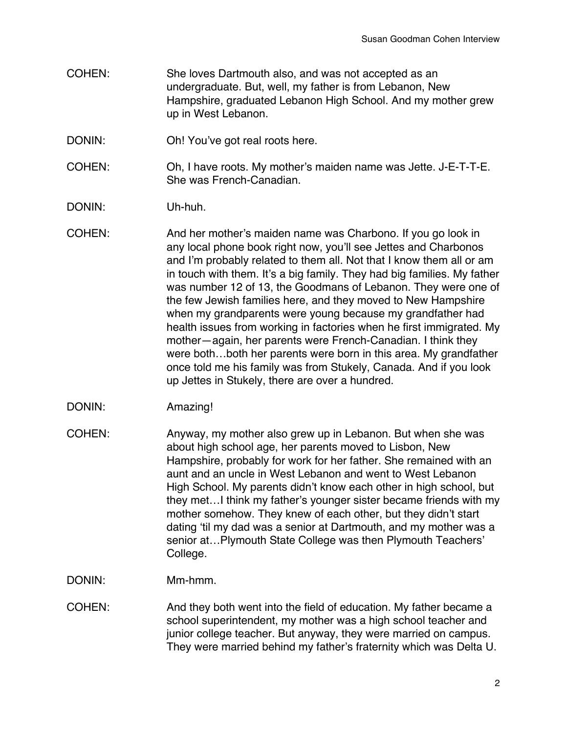- COHEN: She loves Dartmouth also, and was not accepted as an undergraduate. But, well, my father is from Lebanon, New Hampshire, graduated Lebanon High School. And my mother grew up in West Lebanon.
- DONIN: Oh! You've got real roots here.
- COHEN: Oh, I have roots. My mother's maiden name was Jette. J-E-T-T-E. She was French-Canadian.
- DONIN: Uh-huh.
- COHEN: And her mother's maiden name was Charbono. If you go look in any local phone book right now, you'll see Jettes and Charbonos and I'm probably related to them all. Not that I know them all or am in touch with them. It's a big family. They had big families. My father was number 12 of 13, the Goodmans of Lebanon. They were one of the few Jewish families here, and they moved to New Hampshire when my grandparents were young because my grandfather had health issues from working in factories when he first immigrated. My mother—again, her parents were French-Canadian. I think they were both…both her parents were born in this area. My grandfather once told me his family was from Stukely, Canada. And if you look up Jettes in Stukely, there are over a hundred.
- DONIN: Amazing!
- COHEN: Anyway, my mother also grew up in Lebanon. But when she was about high school age, her parents moved to Lisbon, New Hampshire, probably for work for her father. She remained with an aunt and an uncle in West Lebanon and went to West Lebanon High School. My parents didn't know each other in high school, but they met…I think my father's younger sister became friends with my mother somehow. They knew of each other, but they didn't start dating 'til my dad was a senior at Dartmouth, and my mother was a senior at…Plymouth State College was then Plymouth Teachers' College.
- DONIN: Mm-hmm.
- COHEN: And they both went into the field of education. My father became a school superintendent, my mother was a high school teacher and junior college teacher. But anyway, they were married on campus. They were married behind my father's fraternity which was Delta U.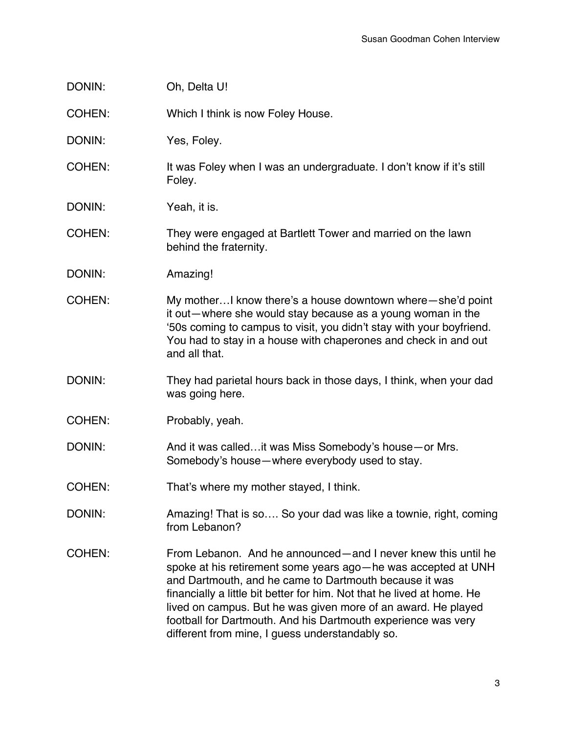| DONIN: | Oh, Delta U! |
|--------|--------------|
|--------|--------------|

COHEN: Which I think is now Foley House.

DONIN: Yes, Foley.

COHEN: It was Foley when I was an undergraduate. I don't know if it's still Foley.

DONIN: Yeah, it is.

COHEN: They were engaged at Bartlett Tower and married on the lawn behind the fraternity.

- DONIN: Amazing!
- COHEN: My mother…I know there's a house downtown where—she'd point it out—where she would stay because as a young woman in the '50s coming to campus to visit, you didn't stay with your boyfriend. You had to stay in a house with chaperones and check in and out and all that.
- DONIN: They had parietal hours back in those days, I think, when your dad was going here.
- COHEN: Probably, yeah.

DONIN: And it was called…it was Miss Somebody's house—or Mrs. Somebody's house—where everybody used to stay.

- COHEN: That's where my mother stayed, I think.
- DONIN: Amazing! That is so…. So your dad was like a townie, right, coming from Lebanon?
- COHEN: From Lebanon. And he announced—and I never knew this until he spoke at his retirement some years ago—he was accepted at UNH and Dartmouth, and he came to Dartmouth because it was financially a little bit better for him. Not that he lived at home. He lived on campus. But he was given more of an award. He played football for Dartmouth. And his Dartmouth experience was very different from mine, I guess understandably so.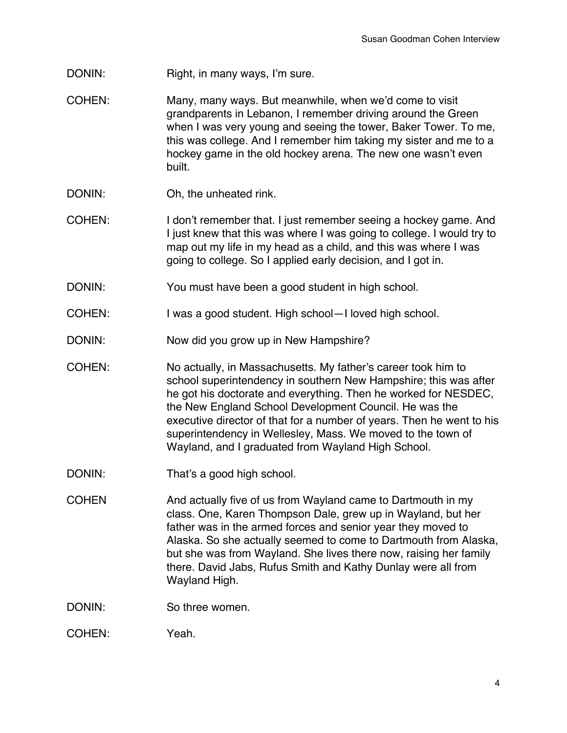- DONIN: Right, in many ways, I'm sure.
- COHEN: Many, many ways. But meanwhile, when we'd come to visit grandparents in Lebanon, I remember driving around the Green when I was very young and seeing the tower, Baker Tower. To me, this was college. And I remember him taking my sister and me to a hockey game in the old hockey arena. The new one wasn't even built.
- DONIN: Oh, the unheated rink.
- COHEN: I don't remember that. I just remember seeing a hockey game. And I just knew that this was where I was going to college. I would try to map out my life in my head as a child, and this was where I was going to college. So I applied early decision, and I got in.
- DONIN: You must have been a good student in high school.
- COHEN: I was a good student. High school—I loved high school.
- DONIN: Now did you grow up in New Hampshire?
- COHEN: No actually, in Massachusetts. My father's career took him to school superintendency in southern New Hampshire; this was after he got his doctorate and everything. Then he worked for NESDEC, the New England School Development Council. He was the executive director of that for a number of years. Then he went to his superintendency in Wellesley, Mass. We moved to the town of Wayland, and I graduated from Wayland High School.
- DONIN: That's a good high school.
- COHEN **And actually five of us from Wayland came to Dartmouth in my** class. One, Karen Thompson Dale, grew up in Wayland, but her father was in the armed forces and senior year they moved to Alaska. So she actually seemed to come to Dartmouth from Alaska, but she was from Wayland. She lives there now, raising her family there. David Jabs, Rufus Smith and Kathy Dunlay were all from Wayland High.
- DONIN: So three women.
- COHEN: Yeah.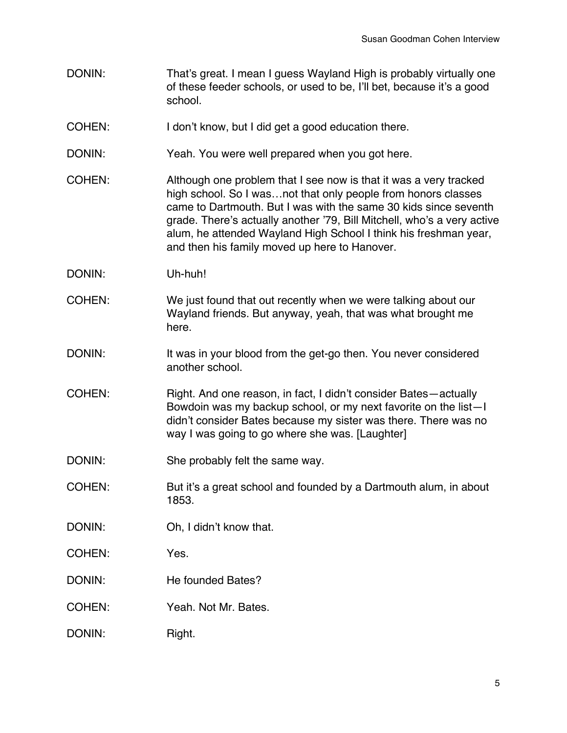- DONIN: That's great. I mean I guess Wayland High is probably virtually one of these feeder schools, or used to be, I'll bet, because it's a good school.
- COHEN: I don't know, but I did get a good education there.
- DONIN: Yeah. You were well prepared when you got here.
- COHEN: Although one problem that I see now is that it was a very tracked high school. So I was...not that only people from honors classes came to Dartmouth. But I was with the same 30 kids since seventh grade. There's actually another '79, Bill Mitchell, who's a very active alum, he attended Wayland High School I think his freshman year, and then his family moved up here to Hanover.
- DONIN: Uh-huh!
- COHEN: We just found that out recently when we were talking about our Wayland friends. But anyway, yeah, that was what brought me here.
- DONIN: It was in your blood from the get-go then. You never considered another school.
- COHEN: Right. And one reason, in fact, I didn't consider Bates—actually Bowdoin was my backup school, or my next favorite on the list—I didn't consider Bates because my sister was there. There was no way I was going to go where she was. [Laughter]
- DONIN: She probably felt the same way.
- COHEN: But it's a great school and founded by a Dartmouth alum, in about 1853.
- DONIN: Oh, I didn't know that.
- COHEN: Yes.
- DONIN: He founded Bates?
- COHEN: Yeah. Not Mr. Bates.
- DONIN: Right.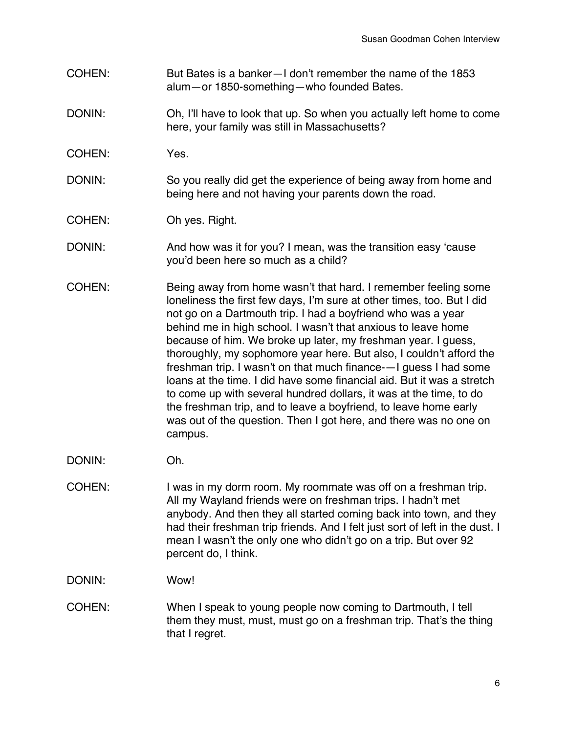- COHEN: But Bates is a banker—I don't remember the name of the 1853 alum—or 1850-something—who founded Bates.
- DONIN: Oh, I'll have to look that up. So when you actually left home to come here, your family was still in Massachusetts?
- COHEN: Yes.
- DONIN: So you really did get the experience of being away from home and being here and not having your parents down the road.
- COHEN: Oh yes. Right.
- DONIN: And how was it for you? I mean, was the transition easy 'cause you'd been here so much as a child?
- COHEN: Being away from home wasn't that hard. I remember feeling some loneliness the first few days, I'm sure at other times, too. But I did not go on a Dartmouth trip. I had a boyfriend who was a year behind me in high school. I wasn't that anxious to leave home because of him. We broke up later, my freshman year. I guess, thoroughly, my sophomore year here. But also, I couldn't afford the freshman trip. I wasn't on that much finance-—I guess I had some loans at the time. I did have some financial aid. But it was a stretch to come up with several hundred dollars, it was at the time, to do the freshman trip, and to leave a boyfriend, to leave home early was out of the question. Then I got here, and there was no one on campus.
- DONIN: Oh.
- COHEN: I was in my dorm room. My roommate was off on a freshman trip. All my Wayland friends were on freshman trips. I hadn't met anybody. And then they all started coming back into town, and they had their freshman trip friends. And I felt just sort of left in the dust. I mean I wasn't the only one who didn't go on a trip. But over 92 percent do, I think.
- DONIN: Wow!
- COHEN: When I speak to young people now coming to Dartmouth, I tell them they must, must, must go on a freshman trip. That's the thing that I regret.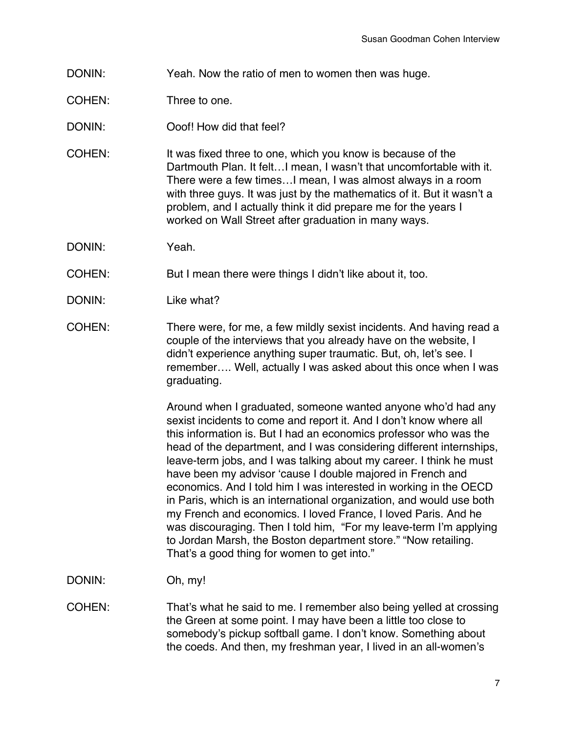- DONIN: Yeah. Now the ratio of men to women then was huge.
- COHEN: Three to one.
- DONIN: Ooof! How did that feel?
- COHEN: It was fixed three to one, which you know is because of the Dartmouth Plan. It felt…I mean, I wasn't that uncomfortable with it. There were a few times…I mean, I was almost always in a room with three guys. It was just by the mathematics of it. But it wasn't a problem, and I actually think it did prepare me for the years I worked on Wall Street after graduation in many ways.
- DONIN: Yeah.
- COHEN: But I mean there were things I didn't like about it, too.
- DONIN: Like what?
- COHEN: There were, for me, a few mildly sexist incidents. And having read a couple of the interviews that you already have on the website, I didn't experience anything super traumatic. But, oh, let's see. I remember…. Well, actually I was asked about this once when I was graduating.

Around when I graduated, someone wanted anyone who'd had any sexist incidents to come and report it. And I don't know where all this information is. But I had an economics professor who was the head of the department, and I was considering different internships, leave-term jobs, and I was talking about my career. I think he must have been my advisor 'cause I double majored in French and economics. And I told him I was interested in working in the OECD in Paris, which is an international organization, and would use both my French and economics. I loved France, I loved Paris. And he was discouraging. Then I told him, "For my leave-term I'm applying to Jordan Marsh, the Boston department store." "Now retailing. That's a good thing for women to get into."

- DONIN: Oh, my!
- COHEN: That's what he said to me. I remember also being yelled at crossing the Green at some point. I may have been a little too close to somebody's pickup softball game. I don't know. Something about the coeds. And then, my freshman year, I lived in an all-women's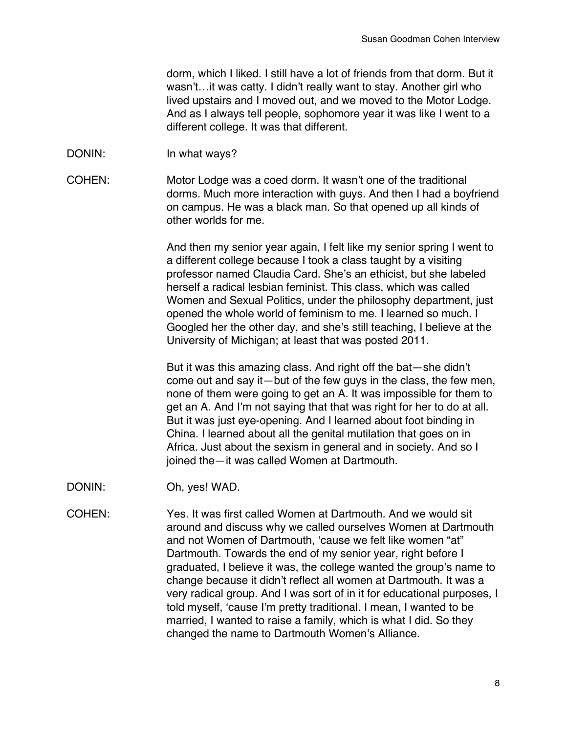dorm, which I liked. I still have a lot of friends from that dorm. But it wasn't…it was catty. I didn't really want to stay. Another girl who lived upstairs and I moved out, and we moved to the Motor Lodge. And as I always tell people, sophomore year it was like I went to a different college. It was that different.

- DONIN: In what ways?
- COHEN: Motor Lodge was a coed dorm. It wasn't one of the traditional dorms. Much more interaction with guys. And then I had a boyfriend on campus. He was a black man. So that opened up all kinds of other worlds for me.

And then my senior year again, I felt like my senior spring I went to a different college because I took a class taught by a visiting professor named Claudia Card. She's an ethicist, but she labeled herself a radical lesbian feminist. This class, which was called Women and Sexual Politics, under the philosophy department, just opened the whole world of feminism to me. I learned so much. I Googled her the other day, and she's still teaching, I believe at the University of Michigan; at least that was posted 2011.

But it was this amazing class. And right off the bat—she didn't come out and say it—but of the few guys in the class, the few men, none of them were going to get an A. It was impossible for them to get an A. And I'm not saying that that was right for her to do at all. But it was just eye-opening. And I learned about foot binding in China. I learned about all the genital mutilation that goes on in Africa. Just about the sexism in general and in society. And so I joined the—it was called Women at Dartmouth.

- DONIN: Oh, yes! WAD.
- COHEN: Yes. It was first called Women at Dartmouth. And we would sit around and discuss why we called ourselves Women at Dartmouth and not Women of Dartmouth, 'cause we felt like women "at" Dartmouth. Towards the end of my senior year, right before I graduated, I believe it was, the college wanted the group's name to change because it didn't reflect all women at Dartmouth. It was a very radical group. And I was sort of in it for educational purposes, I told myself, 'cause I'm pretty traditional. I mean, I wanted to be married, I wanted to raise a family, which is what I did. So they changed the name to Dartmouth Women's Alliance.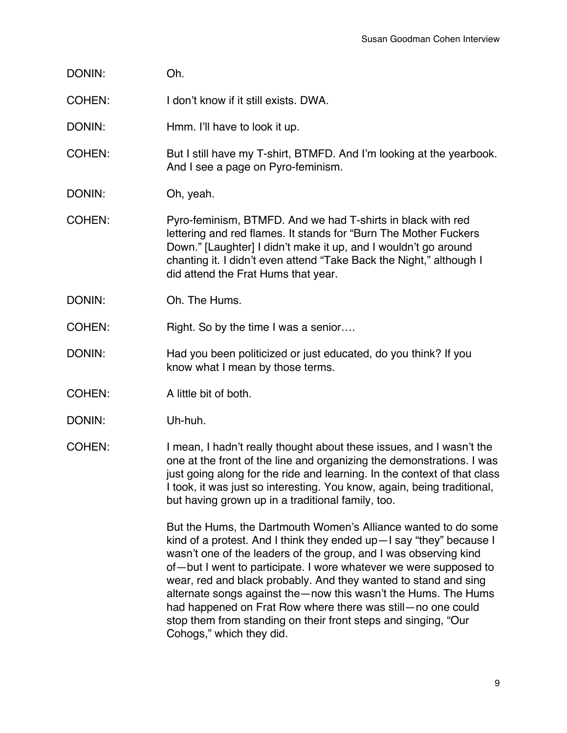- DONIN: Oh.
- COHEN: I don't know if it still exists. DWA.
- DONIN: Hmm. I'll have to look it up.
- COHEN: But I still have my T-shirt, BTMFD. And I'm looking at the yearbook. And I see a page on Pyro-feminism.
- DONIN: Oh, yeah.
- COHEN: Pyro-feminism, BTMFD. And we had T-shirts in black with red lettering and red flames. It stands for "Burn The Mother Fuckers Down." [Laughter] I didn't make it up, and I wouldn't go around chanting it. I didn't even attend "Take Back the Night," although I did attend the Frat Hums that year.
- DONIN: Oh. The Hums.
- COHEN: Right. So by the time I was a senior....
- DONIN: Had you been politicized or just educated, do you think? If you know what I mean by those terms.
- COHEN: A little bit of both.
- DONIN: Uh-huh.
- COHEN: I mean, I hadn't really thought about these issues, and I wasn't the one at the front of the line and organizing the demonstrations. I was just going along for the ride and learning. In the context of that class I took, it was just so interesting. You know, again, being traditional, but having grown up in a traditional family, too.

But the Hums, the Dartmouth Women's Alliance wanted to do some kind of a protest. And I think they ended up—I say "they" because I wasn't one of the leaders of the group, and I was observing kind of—but I went to participate. I wore whatever we were supposed to wear, red and black probably. And they wanted to stand and sing alternate songs against the—now this wasn't the Hums. The Hums had happened on Frat Row where there was still—no one could stop them from standing on their front steps and singing, "Our Cohogs," which they did.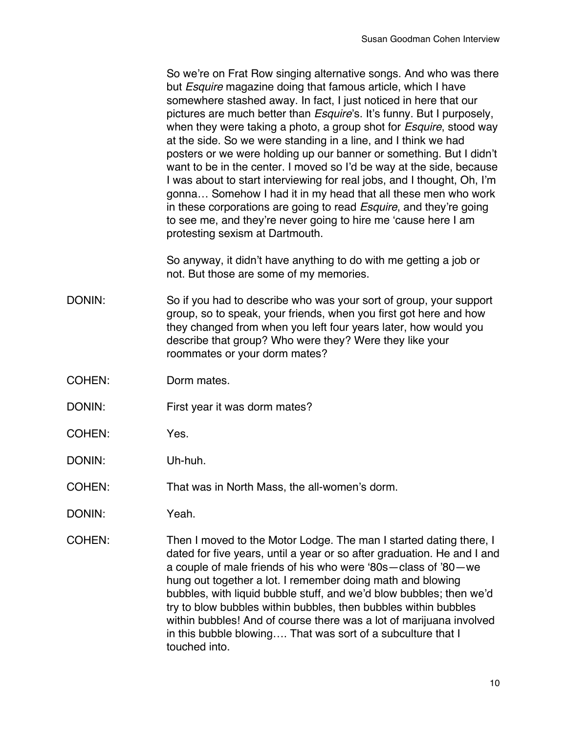So we're on Frat Row singing alternative songs. And who was there but *Esquire* magazine doing that famous article, which I have somewhere stashed away. In fact, I just noticed in here that our pictures are much better than *Esquire*'s. It's funny. But I purposely, when they were taking a photo, a group shot for *Esquire*, stood way at the side. So we were standing in a line, and I think we had posters or we were holding up our banner or something. But I didn't want to be in the center. I moved so I'd be way at the side, because I was about to start interviewing for real jobs, and I thought, Oh, I'm gonna… Somehow I had it in my head that all these men who work in these corporations are going to read *Esquire*, and they're going to see me, and they're never going to hire me 'cause here I am protesting sexism at Dartmouth.

So anyway, it didn't have anything to do with me getting a job or not. But those are some of my memories.

- DONIN: So if you had to describe who was your sort of group, your support group, so to speak, your friends, when you first got here and how they changed from when you left four years later, how would you describe that group? Who were they? Were they like your roommates or your dorm mates?
- COHEN: Dorm mates.
- DONIN: First year it was dorm mates?
- COHEN: Yes.
- DONIN: Uh-huh.
- COHEN: That was in North Mass, the all-women's dorm.
- DONIN: Yeah.
- COHEN: Then I moved to the Motor Lodge. The man I started dating there, I dated for five years, until a year or so after graduation. He and I and a couple of male friends of his who were '80s—class of '80—we hung out together a lot. I remember doing math and blowing bubbles, with liquid bubble stuff, and we'd blow bubbles; then we'd try to blow bubbles within bubbles, then bubbles within bubbles within bubbles! And of course there was a lot of marijuana involved in this bubble blowing…. That was sort of a subculture that I touched into.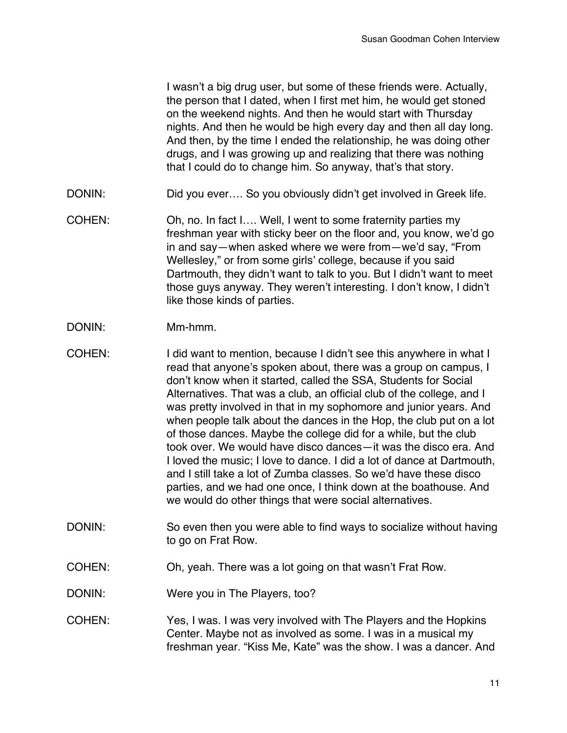I wasn't a big drug user, but some of these friends were. Actually, the person that I dated, when I first met him, he would get stoned on the weekend nights. And then he would start with Thursday nights. And then he would be high every day and then all day long. And then, by the time I ended the relationship, he was doing other drugs, and I was growing up and realizing that there was nothing that I could do to change him. So anyway, that's that story.

- DONIN: DONIN: Did you ever.... So you obviously didn't get involved in Greek life.
- COHEN: Oh, no. In fact I…. Well, I went to some fraternity parties my freshman year with sticky beer on the floor and, you know, we'd go in and say—when asked where we were from—we'd say, "From Wellesley," or from some girls' college, because if you said Dartmouth, they didn't want to talk to you. But I didn't want to meet those guys anyway. They weren't interesting. I don't know, I didn't like those kinds of parties.
- DONIN: Mm-hmm.
- COHEN: I did want to mention, because I didn't see this anywhere in what I read that anyone's spoken about, there was a group on campus, I don't know when it started, called the SSA, Students for Social Alternatives. That was a club, an official club of the college, and I was pretty involved in that in my sophomore and junior years. And when people talk about the dances in the Hop, the club put on a lot of those dances. Maybe the college did for a while, but the club took over. We would have disco dances—it was the disco era. And I loved the music; I love to dance. I did a lot of dance at Dartmouth, and I still take a lot of Zumba classes. So we'd have these disco parties, and we had one once, I think down at the boathouse. And we would do other things that were social alternatives.
- DONIN: So even then you were able to find ways to socialize without having to go on Frat Row.
- COHEN: Oh, yeah. There was a lot going on that wasn't Frat Row.
- DONIN: Were you in The Players, too?
- COHEN: Yes, I was. I was very involved with The Players and the Hopkins Center. Maybe not as involved as some. I was in a musical my freshman year. "Kiss Me, Kate" was the show. I was a dancer. And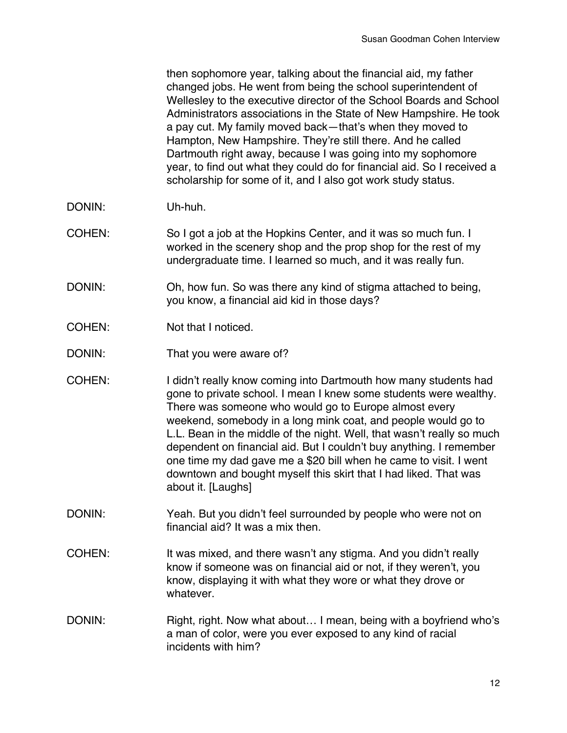then sophomore year, talking about the financial aid, my father changed jobs. He went from being the school superintendent of Wellesley to the executive director of the School Boards and School Administrators associations in the State of New Hampshire. He took a pay cut. My family moved back—that's when they moved to Hampton, New Hampshire. They're still there. And he called Dartmouth right away, because I was going into my sophomore year, to find out what they could do for financial aid. So I received a scholarship for some of it, and I also got work study status.

- DONIN: Uh-huh.
- COHEN: So I got a job at the Hopkins Center, and it was so much fun. I worked in the scenery shop and the prop shop for the rest of my undergraduate time. I learned so much, and it was really fun.
- DONIN: Oh, how fun. So was there any kind of stigma attached to being, you know, a financial aid kid in those days?
- COHEN: Not that I noticed.
- DONIN: That you were aware of?
- COHEN: I didn't really know coming into Dartmouth how many students had gone to private school. I mean I knew some students were wealthy. There was someone who would go to Europe almost every weekend, somebody in a long mink coat, and people would go to L.L. Bean in the middle of the night. Well, that wasn't really so much dependent on financial aid. But I couldn't buy anything. I remember one time my dad gave me a \$20 bill when he came to visit. I went downtown and bought myself this skirt that I had liked. That was about it. [Laughs]
- DONIN: Yeah. But you didn't feel surrounded by people who were not on financial aid? It was a mix then.
- COHEN: It was mixed, and there wasn't any stigma. And you didn't really know if someone was on financial aid or not, if they weren't, you know, displaying it with what they wore or what they drove or whatever.
- DONIN: Right, right. Now what about... I mean, being with a boyfriend who's a man of color, were you ever exposed to any kind of racial incidents with him?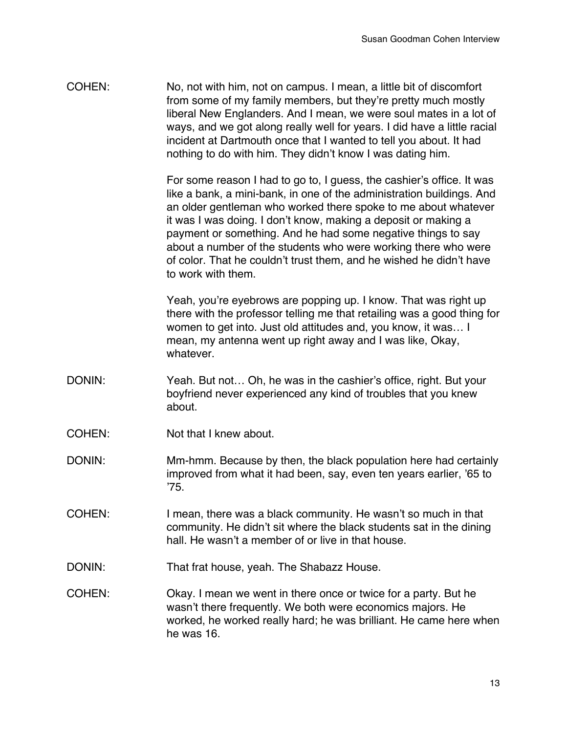COHEN: No, not with him, not on campus. I mean, a little bit of discomfort from some of my family members, but they're pretty much mostly liberal New Englanders. And I mean, we were soul mates in a lot of ways, and we got along really well for years. I did have a little racial incident at Dartmouth once that I wanted to tell you about. It had nothing to do with him. They didn't know I was dating him.

> For some reason I had to go to, I guess, the cashier's office. It was like a bank, a mini-bank, in one of the administration buildings. And an older gentleman who worked there spoke to me about whatever it was I was doing. I don't know, making a deposit or making a payment or something. And he had some negative things to say about a number of the students who were working there who were of color. That he couldn't trust them, and he wished he didn't have to work with them.

Yeah, you're eyebrows are popping up. I know. That was right up there with the professor telling me that retailing was a good thing for women to get into. Just old attitudes and, you know, it was… I mean, my antenna went up right away and I was like, Okay, whatever.

- DONIN: Yeah. But not... Oh, he was in the cashier's office, right. But your boyfriend never experienced any kind of troubles that you knew about.
- COHEN: Not that I knew about.
- DONIN: Mm-hmm. Because by then, the black population here had certainly improved from what it had been, say, even ten years earlier, '65 to '75.
- COHEN: I mean, there was a black community. He wasn't so much in that community. He didn't sit where the black students sat in the dining hall. He wasn't a member of or live in that house.
- DONIN: That frat house, yeah. The Shabazz House.
- COHEN: Okay. I mean we went in there once or twice for a party. But he wasn't there frequently. We both were economics majors. He worked, he worked really hard; he was brilliant. He came here when he was 16.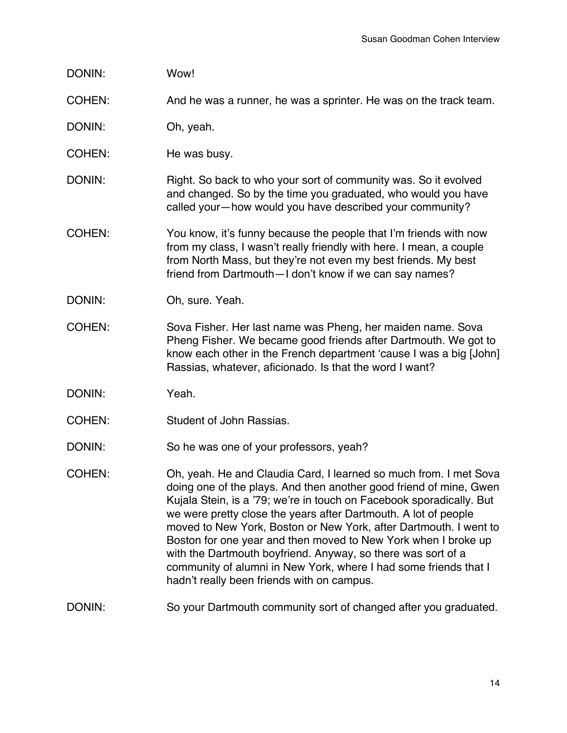| DONIN: | Wow! |
|--------|------|
|--------|------|

COHEN: And he was a runner, he was a sprinter. He was on the track team.

DONIN: Oh, yeah.

COHEN: He was busy.

DONIN: Right. So back to who your sort of community was. So it evolved and changed. So by the time you graduated, who would you have called your—how would you have described your community?

- COHEN: You know, it's funny because the people that I'm friends with now from my class, I wasn't really friendly with here. I mean, a couple from North Mass, but they're not even my best friends. My best friend from Dartmouth—I don't know if we can say names?
- DONIN: Oh, sure. Yeah.
- COHEN: Sova Fisher. Her last name was Pheng, her maiden name. Sova Pheng Fisher. We became good friends after Dartmouth. We got to know each other in the French department 'cause I was a big [John] Rassias, whatever, aficionado. Is that the word I want?
- DONIN: Yeah.
- COHEN: Student of John Rassias.

DONIN: So he was one of your professors, yeah?

COHEN: Oh, yeah. He and Claudia Card, I learned so much from. I met Sova doing one of the plays. And then another good friend of mine, Gwen Kujala Stein, is a '79; we're in touch on Facebook sporadically. But we were pretty close the years after Dartmouth. A lot of people moved to New York, Boston or New York, after Dartmouth. I went to Boston for one year and then moved to New York when I broke up with the Dartmouth boyfriend. Anyway, so there was sort of a community of alumni in New York, where I had some friends that I hadn't really been friends with on campus.

## DONIN: So your Dartmouth community sort of changed after you graduated.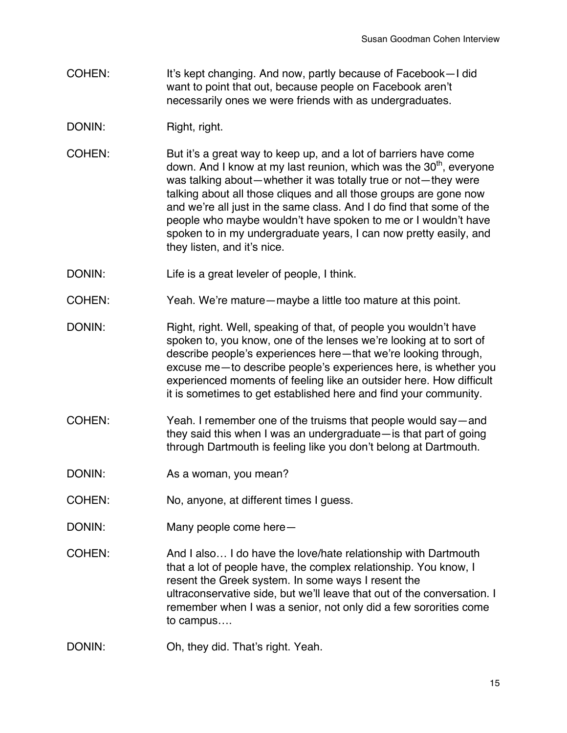- COHEN: It's kept changing. And now, partly because of Facebook-I did want to point that out, because people on Facebook aren't necessarily ones we were friends with as undergraduates.
- DONIN: Right, right.
- COHEN: But it's a great way to keep up, and a lot of barriers have come down. And I know at my last reunion, which was the  $30<sup>th</sup>$ , everyone was talking about—whether it was totally true or not—they were talking about all those cliques and all those groups are gone now and we're all just in the same class. And I do find that some of the people who maybe wouldn't have spoken to me or I wouldn't have spoken to in my undergraduate years, I can now pretty easily, and they listen, and it's nice.
- DONIN: Life is a great leveler of people, I think.
- COHEN: Yeah. We're mature—maybe a little too mature at this point.
- DONIN: Right, right. Well, speaking of that, of people you wouldn't have spoken to, you know, one of the lenses we're looking at to sort of describe people's experiences here—that we're looking through, excuse me—to describe people's experiences here, is whether you experienced moments of feeling like an outsider here. How difficult it is sometimes to get established here and find your community.
- COHEN: Yeah. I remember one of the truisms that people would say—and they said this when I was an undergraduate—is that part of going through Dartmouth is feeling like you don't belong at Dartmouth.
- DONIN: As a woman, you mean?
- COHEN: No, anyone, at different times I guess.
- DONIN: Many people come here-
- COHEN: And I also… I do have the love/hate relationship with Dartmouth that a lot of people have, the complex relationship. You know, I resent the Greek system. In some ways I resent the ultraconservative side, but we'll leave that out of the conversation. I remember when I was a senior, not only did a few sororities come to campus….
- DONIN: Oh, they did. That's right. Yeah.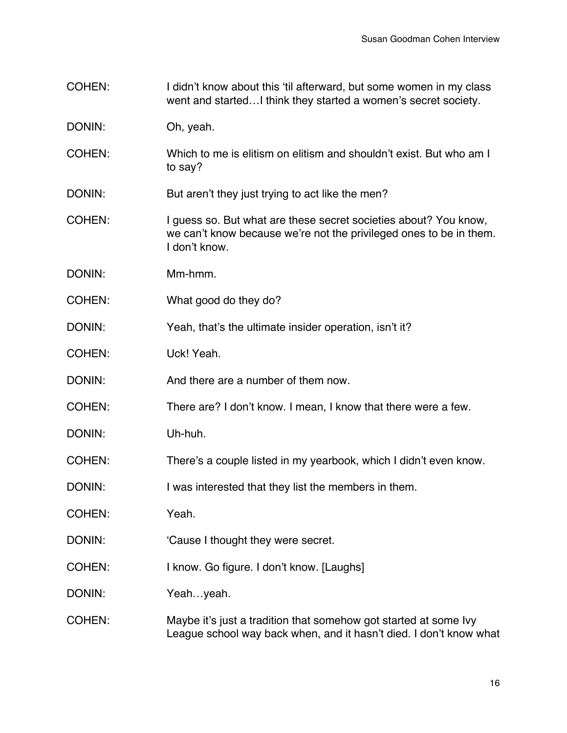- COHEN: I didn't know about this 'til afterward, but some women in my class went and started…I think they started a women's secret society.
- DONIN: Oh, yeah.
- COHEN: Which to me is elitism on elitism and shouldn't exist. But who am I to say?
- DONIN: But aren't they just trying to act like the men?
- COHEN: I guess so. But what are these secret societies about? You know, we can't know because we're not the privileged ones to be in them. I don't know.
- DONIN: Mm-hmm.
- COHEN: What good do they do?
- DONIN: Yeah, that's the ultimate insider operation, isn't it?
- COHEN: Uck! Yeah.
- DONIN: And there are a number of them now.
- COHEN: There are? I don't know. I mean, I know that there were a few.
- DONIN: Uh-huh.
- COHEN: There's a couple listed in my yearbook, which I didn't even know.
- DONIN: I was interested that they list the members in them.
- COHEN: Yeah.
- DONIN: Cause I thought they were secret.
- COHEN: I know. Go figure. I don't know. [Laughs]
- DONIN: Yeah...yeah.
- COHEN: Maybe it's just a tradition that somehow got started at some Ivy League school way back when, and it hasn't died. I don't know what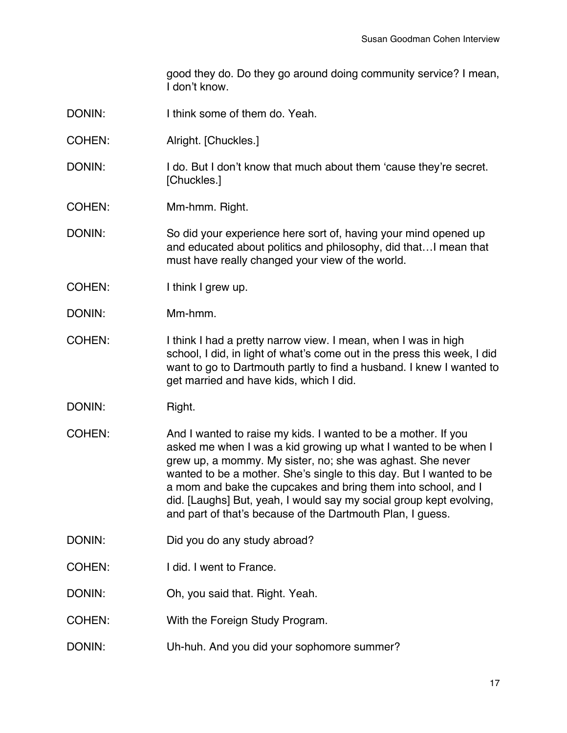good they do. Do they go around doing community service? I mean, I don't know.

- DONIN: I think some of them do. Yeah.
- COHEN: Alright. [Chuckles.]
- DONIN: I do. But I don't know that much about them 'cause they're secret. [Chuckles.]
- COHEN: Mm-hmm. Right.
- DONIN: So did your experience here sort of, having your mind opened up and educated about politics and philosophy, did that…I mean that must have really changed your view of the world.
- COHEN: I think I grew up.
- DONIN: Mm-hmm.
- COHEN: I think I had a pretty narrow view. I mean, when I was in high school, I did, in light of what's come out in the press this week, I did want to go to Dartmouth partly to find a husband. I knew I wanted to get married and have kids, which I did.
- DONIN: Right.
- COHEN: And I wanted to raise my kids. I wanted to be a mother. If you asked me when I was a kid growing up what I wanted to be when I grew up, a mommy. My sister, no; she was aghast. She never wanted to be a mother. She's single to this day. But I wanted to be a mom and bake the cupcakes and bring them into school, and I did. [Laughs] But, yeah, I would say my social group kept evolving, and part of that's because of the Dartmouth Plan, I guess.
- DONIN: Did you do any study abroad?
- COHEN: I did. I went to France.
- DONIN: Oh, you said that. Right. Yeah.
- COHEN: With the Foreign Study Program.
- DONIN: Uh-huh. And you did your sophomore summer?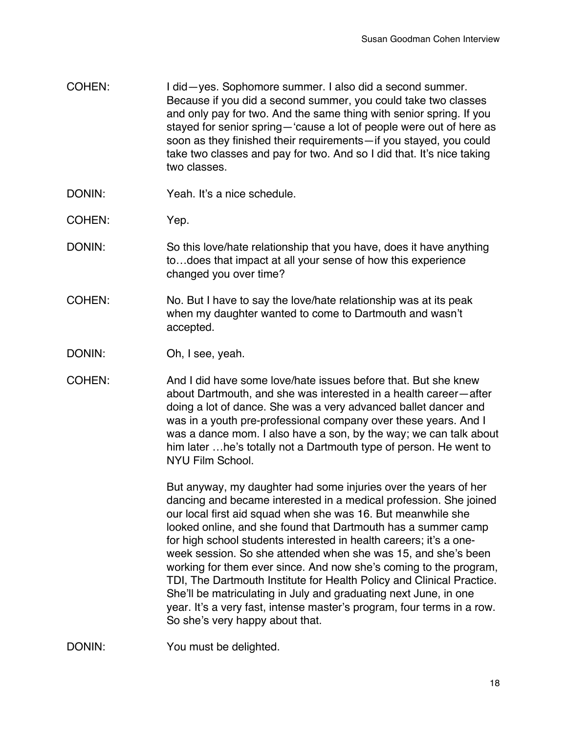- COHEN: I did—yes. Sophomore summer. I also did a second summer. Because if you did a second summer, you could take two classes and only pay for two. And the same thing with senior spring. If you stayed for senior spring—'cause a lot of people were out of here as soon as they finished their requirements—if you stayed, you could take two classes and pay for two. And so I did that. It's nice taking two classes.
- DONIN: Yeah. It's a nice schedule.
- COHEN: Yep.
- DONIN: So this love/hate relationship that you have, does it have anything to…does that impact at all your sense of how this experience changed you over time?
- COHEN: No. But I have to say the love/hate relationship was at its peak when my daughter wanted to come to Dartmouth and wasn't accepted.
- DONIN: Oh, I see, yeah.
- COHEN: And I did have some love/hate issues before that. But she knew about Dartmouth, and she was interested in a health career—after doing a lot of dance. She was a very advanced ballet dancer and was in a youth pre-professional company over these years. And I was a dance mom. I also have a son, by the way; we can talk about him later …he's totally not a Dartmouth type of person. He went to NYU Film School.

But anyway, my daughter had some injuries over the years of her dancing and became interested in a medical profession. She joined our local first aid squad when she was 16. But meanwhile she looked online, and she found that Dartmouth has a summer camp for high school students interested in health careers; it's a oneweek session. So she attended when she was 15, and she's been working for them ever since. And now she's coming to the program, TDI, The Dartmouth Institute for Health Policy and Clinical Practice. She'll be matriculating in July and graduating next June, in one year. It's a very fast, intense master's program, four terms in a row. So she's very happy about that.

DONIN: You must be delighted.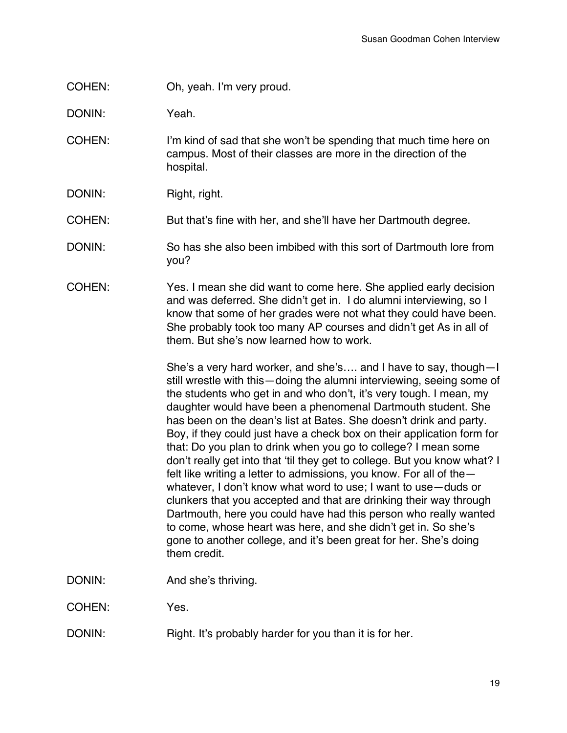COHEN: Oh, yeah. I'm very proud.

DONIN: Yeah.

- COHEN: I'm kind of sad that she won't be spending that much time here on campus. Most of their classes are more in the direction of the hospital.
- DONIN: Right, right.
- COHEN: But that's fine with her, and she'll have her Dartmouth degree.
- DONIN: So has she also been imbibed with this sort of Dartmouth lore from you?
- COHEN: Yes. I mean she did want to come here. She applied early decision and was deferred. She didn't get in. I do alumni interviewing, so I know that some of her grades were not what they could have been. She probably took too many AP courses and didn't get As in all of them. But she's now learned how to work.

She's a very hard worker, and she's…. and I have to say, though—I still wrestle with this—doing the alumni interviewing, seeing some of the students who get in and who don't, it's very tough. I mean, my daughter would have been a phenomenal Dartmouth student. She has been on the dean's list at Bates. She doesn't drink and party. Boy, if they could just have a check box on their application form for that: Do you plan to drink when you go to college? I mean some don't really get into that 'til they get to college. But you know what? I felt like writing a letter to admissions, you know. For all of the whatever, I don't know what word to use; I want to use—duds or clunkers that you accepted and that are drinking their way through Dartmouth, here you could have had this person who really wanted to come, whose heart was here, and she didn't get in. So she's gone to another college, and it's been great for her. She's doing them credit.

DONIN: And she's thriving.

COHEN: Yes.

DONIN: Right. It's probably harder for you than it is for her.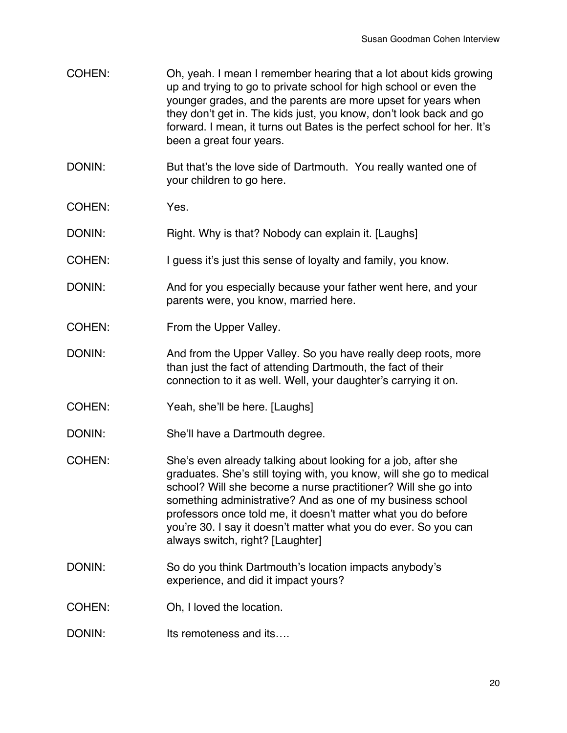- COHEN: Oh, yeah. I mean I remember hearing that a lot about kids growing up and trying to go to private school for high school or even the younger grades, and the parents are more upset for years when they don't get in. The kids just, you know, don't look back and go forward. I mean, it turns out Bates is the perfect school for her. It's been a great four years.
- DONIN: But that's the love side of Dartmouth. You really wanted one of your children to go here.
- COHEN: Yes.

DONIN: Right. Why is that? Nobody can explain it. [Laughs]

- COHEN: I guess it's just this sense of loyalty and family, you know.
- DONIN: And for you especially because your father went here, and your parents were, you know, married here.
- COHEN: From the Upper Valley.
- DONIN: And from the Upper Valley. So you have really deep roots, more than just the fact of attending Dartmouth, the fact of their connection to it as well. Well, your daughter's carrying it on.
- COHEN: Yeah, she'll be here. [Laughs]
- DONIN: She'll have a Dartmouth degree.
- COHEN: She's even already talking about looking for a job, after she graduates. She's still toying with, you know, will she go to medical school? Will she become a nurse practitioner? Will she go into something administrative? And as one of my business school professors once told me, it doesn't matter what you do before you're 30. I say it doesn't matter what you do ever. So you can always switch, right? [Laughter]
- DONIN: So do you think Dartmouth's location impacts anybody's experience, and did it impact yours?
- COHEN: Oh, I loved the location.
- DONIN: Its remoteness and its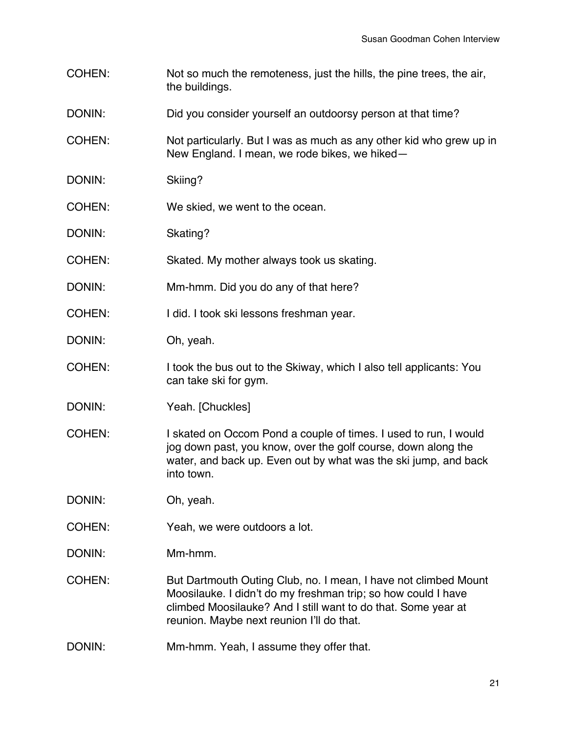- COHEN: Not so much the remoteness, just the hills, the pine trees, the air, the buildings.
- DONIN: DONIN: Did you consider yourself an outdoorsy person at that time?
- COHEN: Not particularly. But I was as much as any other kid who grew up in New England. I mean, we rode bikes, we hiked—
- DONIN: Skiing?
- COHEN: We skied, we went to the ocean.
- DONIN: Skating?
- COHEN: Skated. My mother always took us skating.
- DONIN: Mm-hmm. Did you do any of that here?
- COHEN: I did. I took ski lessons freshman year.
- DONIN: Oh, yeah.
- COHEN: I took the bus out to the Skiway, which I also tell applicants: You can take ski for gym.
- DONIN: Yeah. [Chuckles]
- COHEN: I skated on Occom Pond a couple of times. I used to run, I would jog down past, you know, over the golf course, down along the water, and back up. Even out by what was the ski jump, and back into town.

DONIN: Oh, yeah.

- COHEN: Yeah, we were outdoors a lot.
- DONIN: Mm-hmm.
- COHEN: But Dartmouth Outing Club, no. I mean, I have not climbed Mount Moosilauke. I didn't do my freshman trip; so how could I have climbed Moosilauke? And I still want to do that. Some year at reunion. Maybe next reunion I'll do that.
- DONIN: Mm-hmm. Yeah, I assume they offer that.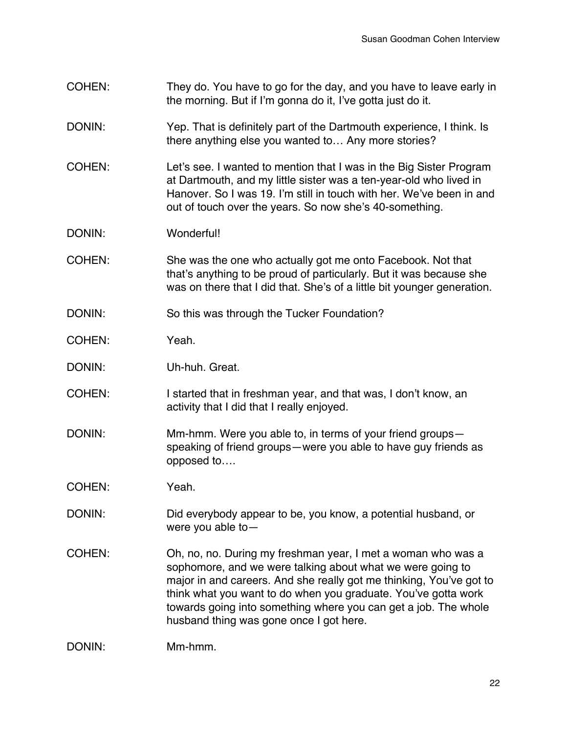- COHEN: They do. You have to go for the day, and you have to leave early in the morning. But if I'm gonna do it, I've gotta just do it.
- DONIN: Yep. That is definitely part of the Dartmouth experience, I think. Is there anything else you wanted to… Any more stories?
- COHEN: Let's see. I wanted to mention that I was in the Big Sister Program at Dartmouth, and my little sister was a ten-year-old who lived in Hanover. So I was 19. I'm still in touch with her. We've been in and out of touch over the years. So now she's 40-something.
- DONIN: Wonderful!
- COHEN: She was the one who actually got me onto Facebook. Not that that's anything to be proud of particularly. But it was because she was on there that I did that. She's of a little bit younger generation.
- DONIN: So this was through the Tucker Foundation?
- COHEN: Yeah.
- DONIN: Uh-huh. Great.
- COHEN: I started that in freshman year, and that was, I don't know, an activity that I did that I really enjoyed.
- DONIN: Mm-hmm. Were you able to, in terms of your friend groups speaking of friend groups—were you able to have guy friends as opposed to….
- COHEN: Yeah.
- DONIN: Did everybody appear to be, you know, a potential husband, or were you able to—
- COHEN: Oh, no, no. During my freshman year, I met a woman who was a sophomore, and we were talking about what we were going to major in and careers. And she really got me thinking, You've got to think what you want to do when you graduate. You've gotta work towards going into something where you can get a job. The whole husband thing was gone once I got here.

```
DONIN: Mm-hmm.
```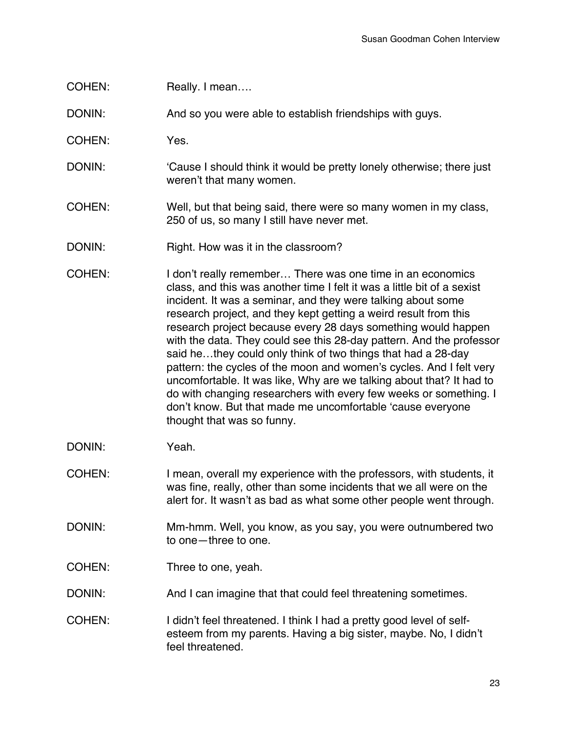COHEN: Really. I mean....

DONIN: And so you were able to establish friendships with guys.

- COHEN: Yes.
- DONIN: 'Cause I should think it would be pretty lonely otherwise; there just weren't that many women.
- COHEN: Well, but that being said, there were so many women in my class, 250 of us, so many I still have never met.
- DONIN: Right. How was it in the classroom?
- COHEN: I don't really remember… There was one time in an economics class, and this was another time I felt it was a little bit of a sexist incident. It was a seminar, and they were talking about some research project, and they kept getting a weird result from this research project because every 28 days something would happen with the data. They could see this 28-day pattern. And the professor said he…they could only think of two things that had a 28-day pattern: the cycles of the moon and women's cycles. And I felt very uncomfortable. It was like, Why are we talking about that? It had to do with changing researchers with every few weeks or something. I don't know. But that made me uncomfortable 'cause everyone thought that was so funny.
- DONIN: Yeah.
- COHEN: I mean, overall my experience with the professors, with students, it was fine, really, other than some incidents that we all were on the alert for. It wasn't as bad as what some other people went through.
- DONIN: Mm-hmm. Well, you know, as you say, you were outnumbered two to one—three to one.
- COHEN: Three to one, yeah.
- DONIN: And I can imagine that that could feel threatening sometimes.
- COHEN: I didn't feel threatened. I think I had a pretty good level of selfesteem from my parents. Having a big sister, maybe. No, I didn't feel threatened.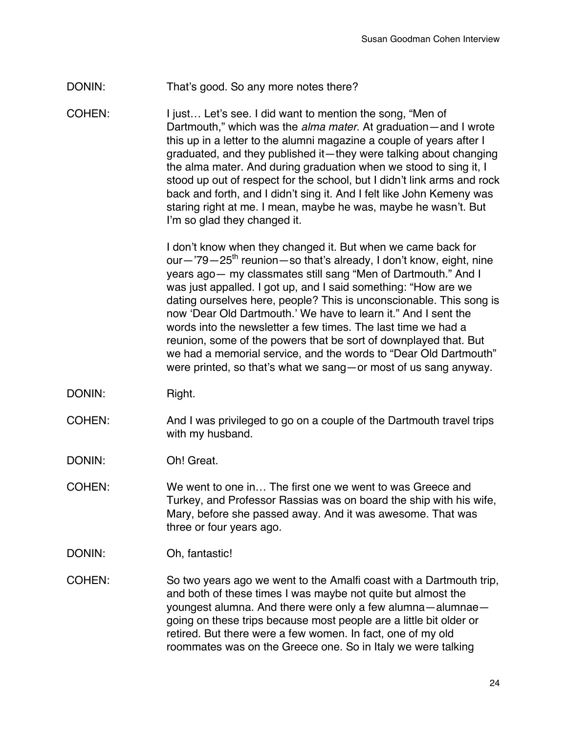## DONIN: That's good. So any more notes there?

COHEN: I just… Let's see. I did want to mention the song, "Men of Dartmouth," which was the *alma mater*. At graduation—and I wrote this up in a letter to the alumni magazine a couple of years after I graduated, and they published it—they were talking about changing the alma mater. And during graduation when we stood to sing it, I stood up out of respect for the school, but I didn't link arms and rock back and forth, and I didn't sing it. And I felt like John Kemeny was staring right at me. I mean, maybe he was, maybe he wasn't. But I'm so glad they changed it.

> I don't know when they changed it. But when we came back for our—'79—25<sup>th</sup> reunion—so that's already, I don't know, eight, nine years ago— my classmates still sang "Men of Dartmouth." And I was just appalled. I got up, and I said something: "How are we dating ourselves here, people? This is unconscionable. This song is now 'Dear Old Dartmouth.' We have to learn it." And I sent the words into the newsletter a few times. The last time we had a reunion, some of the powers that be sort of downplayed that. But we had a memorial service, and the words to "Dear Old Dartmouth" were printed, so that's what we sang—or most of us sang anyway.

- DONIN: Right.
- COHEN: And I was privileged to go on a couple of the Dartmouth travel trips with my husband.
- DONIN: Oh! Great.
- COHEN: We went to one in… The first one we went to was Greece and Turkey, and Professor Rassias was on board the ship with his wife, Mary, before she passed away. And it was awesome. That was three or four years ago.
- DONIN: Oh, fantastic!
- COHEN: So two years ago we went to the Amalfi coast with a Dartmouth trip, and both of these times I was maybe not quite but almost the youngest alumna. And there were only a few alumna—alumnae going on these trips because most people are a little bit older or retired. But there were a few women. In fact, one of my old roommates was on the Greece one. So in Italy we were talking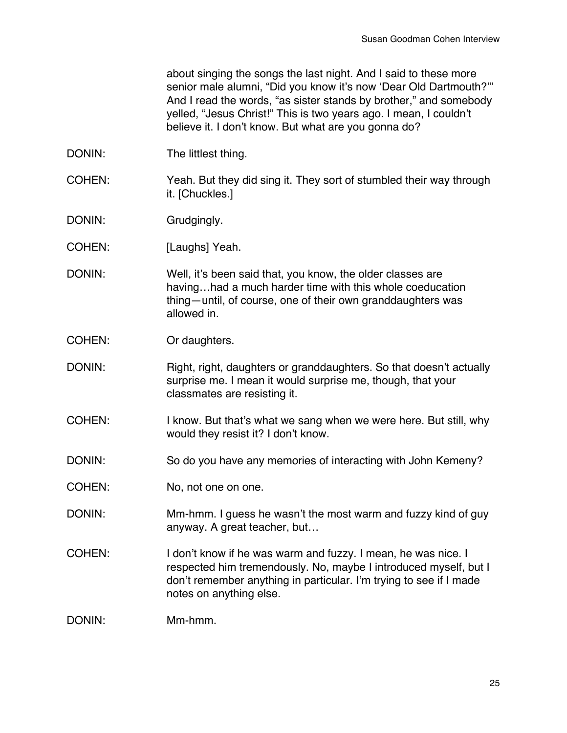about singing the songs the last night. And I said to these more senior male alumni, "Did you know it's now 'Dear Old Dartmouth?"" And I read the words, "as sister stands by brother," and somebody yelled, "Jesus Christ!" This is two years ago. I mean, I couldn't believe it. I don't know. But what are you gonna do?

- DONIN: The littlest thing.
- COHEN: Yeah. But they did sing it. They sort of stumbled their way through it. [Chuckles.]
- DONIN: Grudgingly.
- COHEN: [Laughs] Yeah.
- DONIN: Well, it's been said that, you know, the older classes are having…had a much harder time with this whole coeducation thing—until, of course, one of their own granddaughters was allowed in.
- COHEN: Or daughters.
- DONIN: Right, right, daughters or granddaughters. So that doesn't actually surprise me. I mean it would surprise me, though, that your classmates are resisting it.
- COHEN: I know. But that's what we sang when we were here. But still, why would they resist it? I don't know.
- DONIN: So do you have any memories of interacting with John Kemeny?
- COHEN: No, not one on one.
- DONIN: Mm-hmm. I guess he wasn't the most warm and fuzzy kind of guy anyway. A great teacher, but…
- COHEN: I don't know if he was warm and fuzzy. I mean, he was nice. I respected him tremendously. No, maybe I introduced myself, but I don't remember anything in particular. I'm trying to see if I made notes on anything else.
- DONIN: Mm-hmm.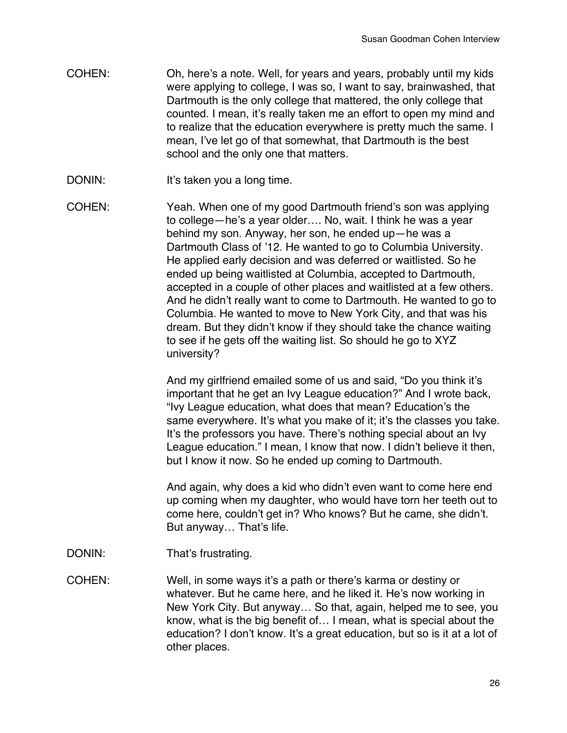- COHEN: Oh, here's a note. Well, for years and years, probably until my kids were applying to college, I was so, I want to say, brainwashed, that Dartmouth is the only college that mattered, the only college that counted. I mean, it's really taken me an effort to open my mind and to realize that the education everywhere is pretty much the same. I mean, I've let go of that somewhat, that Dartmouth is the best school and the only one that matters.
- DONIN: It's taken you a long time.
- COHEN: Yeah. When one of my good Dartmouth friend's son was applying to college—he's a year older…. No, wait. I think he was a year behind my son. Anyway, her son, he ended up—he was a Dartmouth Class of '12. He wanted to go to Columbia University. He applied early decision and was deferred or waitlisted. So he ended up being waitlisted at Columbia, accepted to Dartmouth, accepted in a couple of other places and waitlisted at a few others. And he didn't really want to come to Dartmouth. He wanted to go to Columbia. He wanted to move to New York City, and that was his dream. But they didn't know if they should take the chance waiting to see if he gets off the waiting list. So should he go to XYZ university?

And my girlfriend emailed some of us and said, "Do you think it's important that he get an Ivy League education?" And I wrote back, "Ivy League education, what does that mean? Education's the same everywhere. It's what you make of it; it's the classes you take. It's the professors you have. There's nothing special about an Ivy League education." I mean, I know that now. I didn't believe it then, but I know it now. So he ended up coming to Dartmouth.

And again, why does a kid who didn't even want to come here end up coming when my daughter, who would have torn her teeth out to come here, couldn't get in? Who knows? But he came, she didn't. But anyway… That's life.

DONIN: That's frustrating.

COHEN: Well, in some ways it's a path or there's karma or destiny or whatever. But he came here, and he liked it. He's now working in New York City. But anyway… So that, again, helped me to see, you know, what is the big benefit of… I mean, what is special about the education? I don't know. It's a great education, but so is it at a lot of other places.